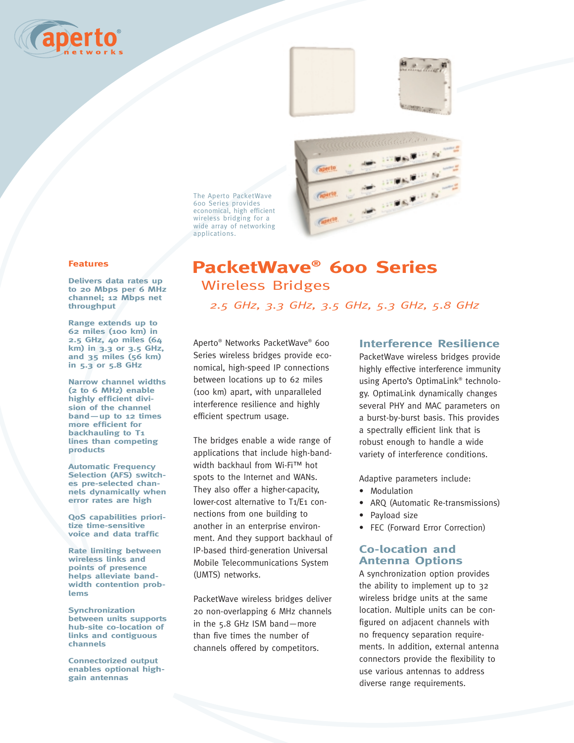



The Aperto PacketWave 600 Series provides economical, high efficient wireless bridging for a wide array of networking applications.



**Delivers data rates up to 20 Mbps per 6 MHz channel; 12 Mbps net throughput** 

**Range extends up to 62 miles (100 km) in 2.5 GHz, 40 miles (64 km) in 3.3 or 3.5 GHz, and 35 miles (56 km) in 5.3 or 5.8 GHz** 

**Narrow channel widths (2 to 6 MHz) enable highly efficient division of the channel band—up to 12 times more efficient for backhauling to T1 lines than competing products**

**Automatic Frequency Selection (AFS) switches pre-selected channels dynamically when error rates are high**

**QoS capabilities prioritize time-sensitive voice and data traffic**

**Rate limiting between wireless links and points of presence helps alleviate bandwidth contention problems**

**Synchronization between units supports hub-site co-location of links and contiguous channels**

**Connectorized output enables optional highgain antennas**

# **PacketWave® 600 Series** Wireless Bridges

**Francis** 

*2.5 GHz, 3.3 GHz, 3.5 GHz, 5.3 GHz, 5.8 GHz*

Aperto® Networks PacketWave® 600 Series wireless bridges provide economical, high-speed IP connections between locations up to 62 miles (100 km) apart, with unparalleled interference resilience and highly efficient spectrum usage.

The bridges enable a wide range of applications that include high-bandwidth backhaul from Wi-Fi™ hot spots to the Internet and WANs. They also offer a higher-capacity, lower-cost alternative to T1/E1 connections from one building to another in an enterprise environment. And they support backhaul of IP-based third-generation Universal Mobile Telecommunications System (UMTS) networks.

PacketWave wireless bridges deliver 20 non-overlapping 6 MHz channels in the 5.8 GHz ISM band—more than five times the number of channels offered by competitors.

# **Interference Resilience**

PacketWave wireless bridges provide highly effective interference immunity using Aperto's OptimaLink® technology. OptimaLink dynamically changes several PHY and MAC parameters on a burst-by-burst basis. This provides a spectrally efficient link that is robust enough to handle a wide variety of interference conditions.

Adaptive parameters include:

- Modulation
- ARQ (Automatic Re-transmissions)
- Payload size
- FEC (Forward Error Correction)

# **Co-location and Antenna Options**

A synchronization option provides the ability to implement up to 32 wireless bridge units at the same location. Multiple units can be configured on adjacent channels with no frequency separation requirements. In addition, external antenna connectors provide the flexibility to use various antennas to address diverse range requirements.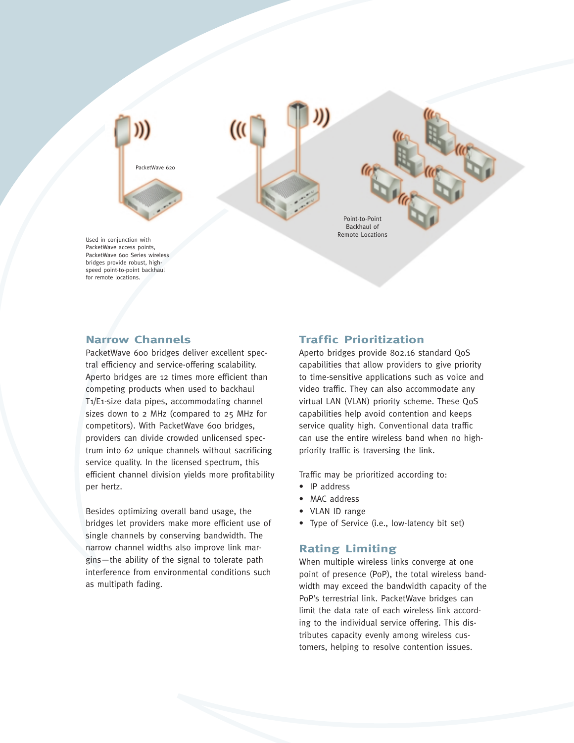

PacketWave access points, PacketWave 600 Series wireless bridges provide robust, highspeed point-to-point backhaul for remote locations.

# **Narrow Channels**

PacketWave 600 bridges deliver excellent spectral efficiency and service-offering scalability. Aperto bridges are 12 times more efficient than competing products when used to backhaul T1/E1-size data pipes, accommodating channel sizes down to 2 MHz (compared to 25 MHz for competitors). With PacketWave 600 bridges, providers can divide crowded unlicensed spectrum into 62 unique channels without sacrificing service quality. In the licensed spectrum, this efficient channel division yields more profitability per hertz.

Besides optimizing overall band usage, the bridges let providers make more efficient use of single channels by conserving bandwidth. The narrow channel widths also improve link margins—the ability of the signal to tolerate path interference from environmental conditions such as multipath fading.

# **Traffic Prioritization**

Aperto bridges provide 802.16 standard QoS capabilities that allow providers to give priority to time-sensitive applications such as voice and video traffic. They can also accommodate any virtual LAN (VLAN) priority scheme. These QoS capabilities help avoid contention and keeps service quality high. Conventional data traffic can use the entire wireless band when no highpriority traffic is traversing the link.

Traffic may be prioritized according to:

- IP address
- MAC address
- VLAN ID range
- Type of Service (i.e., low-latency bit set)

# **Rating Limiting**

When multiple wireless links converge at one point of presence (PoP), the total wireless bandwidth may exceed the bandwidth capacity of the PoP's terrestrial link. PacketWave bridges can limit the data rate of each wireless link according to the individual service offering. This distributes capacity evenly among wireless customers, helping to resolve contention issues.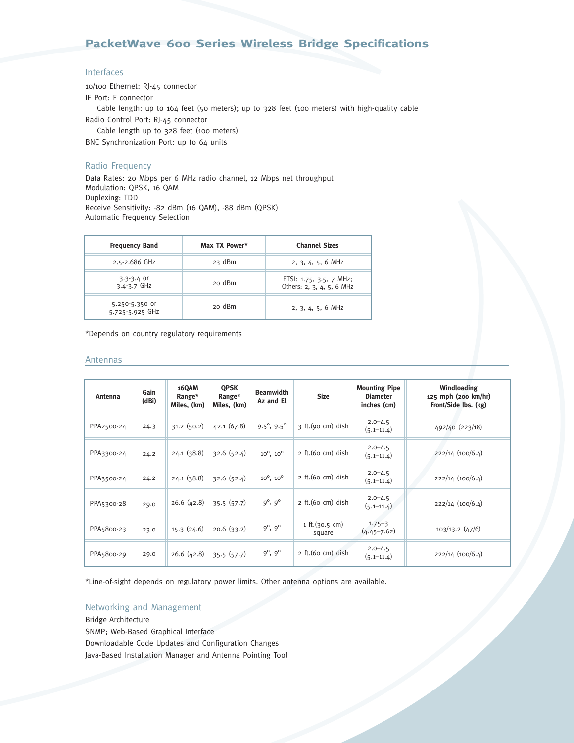# **PacketWave 600 Series Wireless Bridge Specifications**

## Interfaces

10/100 Ethernet: RJ-45 connector IF Port: F connector Cable length: up to 164 feet (50 meters); up to 328 feet (100 meters) with high-quality cable Radio Control Port: RJ-45 connector Cable length up to 328 feet (100 meters) BNC Synchronization Port: up to 64 units

## Radio Frequency

Data Rates: 20 Mbps per 6 MHz radio channel, 12 Mbps net throughput Modulation: QPSK, 16 QAM Duplexing: TDD Receive Sensitivity: -82 dBm (16 QAM), -88 dBm (QPSK) Automatic Frequency Selection

| <b>Frequency Band</b>             | Max TX Power* | <b>Channel Sizes</b>                                 |
|-----------------------------------|---------------|------------------------------------------------------|
| 2.5-2.686 GHz                     | 23 dBm        | $2, 3, 4, 5, 6$ MHz                                  |
| $3.3 - 3.4$ or<br>$3.4 - 3.7$ GHz | 20 dBm        | ETSI: 1.75, 3.5, 7 MHz;<br>Others: 2, 3, 4, 5, 6 MHz |
| 5.250-5.350 or<br>5.725-5.925 GHz | 20 dBm        | $2, 3, 4, 5, 6$ MHz                                  |

\*Depends on country regulatory requirements

#### Antennas

| Antenna    | Gain<br>(dBi) | <b>16QAM</b><br>Range*<br>Miles, (km) | <b>QPSK</b><br>Range*<br>Miles, (km) | <b>Beamwidth</b><br>Az and El | <b>Size</b>              | <b>Mounting Pipe</b><br><b>Diameter</b><br>inches (cm) | Windloading<br>125 mph (200 km/hr)<br>Front/Side lbs. (kg) |
|------------|---------------|---------------------------------------|--------------------------------------|-------------------------------|--------------------------|--------------------------------------------------------|------------------------------------------------------------|
| PPA2500-24 | 24.3          | 31.2(50.2)                            | 42.1(67.8)                           | $9.5^{\circ}, 9.5^{\circ}$    | $3$ ft. (90 cm) dish     | $2.0 - 4.5$<br>$(5.1 - 11.4)$                          | 492/40 (223/18)                                            |
| PPA3300-24 | 24.2          | 24.1(38.8)                            | 32.6(52.4)                           | $10^{\circ}$ , $10^{\circ}$   | $2$ ft. (60 cm) dish     | $2.0 - 4.5$<br>$(5.1 - 11.4)$                          | 222/14 (100/6.4)                                           |
| PPA3500-24 | 24.2          | 24.1(38.8)                            | 32.6(52.4)                           | $10^{\circ}$ , $10^{\circ}$   | $2$ ft. (60 cm) dish     | $2.0 - 4.5$<br>$(5.1 - 11.4)$                          | $222/14$ $(100/6.4)$                                       |
| PPA5300-28 | 29.0          | 26.6(42.8)                            | 35.5(57.7)                           | $9^{\circ}, 9^{\circ}$        | $2$ ft. (60 cm) dish     | $2.0 - 4.5$<br>$(5.1 - 11.4)$                          | 222/14 (100/6.4)                                           |
| PPA5800-23 | 23.0          | 15.3(24.6)                            | 20.6(33.2)                           | $9^{\circ}, 9^{\circ}$        | 1 ft.(30.5 cm)<br>square | $1.75 - 3$<br>$(4.45 - 7.62)$                          | $103/13.2$ (47/6)                                          |
| PPA5800-29 | 29.0          | 26.6(42.8)                            | 35.5(57.7)                           | $9^{\circ}, 9^{\circ}$        | 2 ft. (60 cm) dish       | $2.0 - 4.5$<br>$(5.1 - 11.4)$                          | $222/14$ $(100/6.4)$                                       |

\*Line-of-sight depends on regulatory power limits. Other antenna options are available.

## Networking and Management

Bridge Architecture SNMP; Web-Based Graphical Interface Downloadable Code Updates and Configuration Changes Java-Based Installation Manager and Antenna Pointing Tool